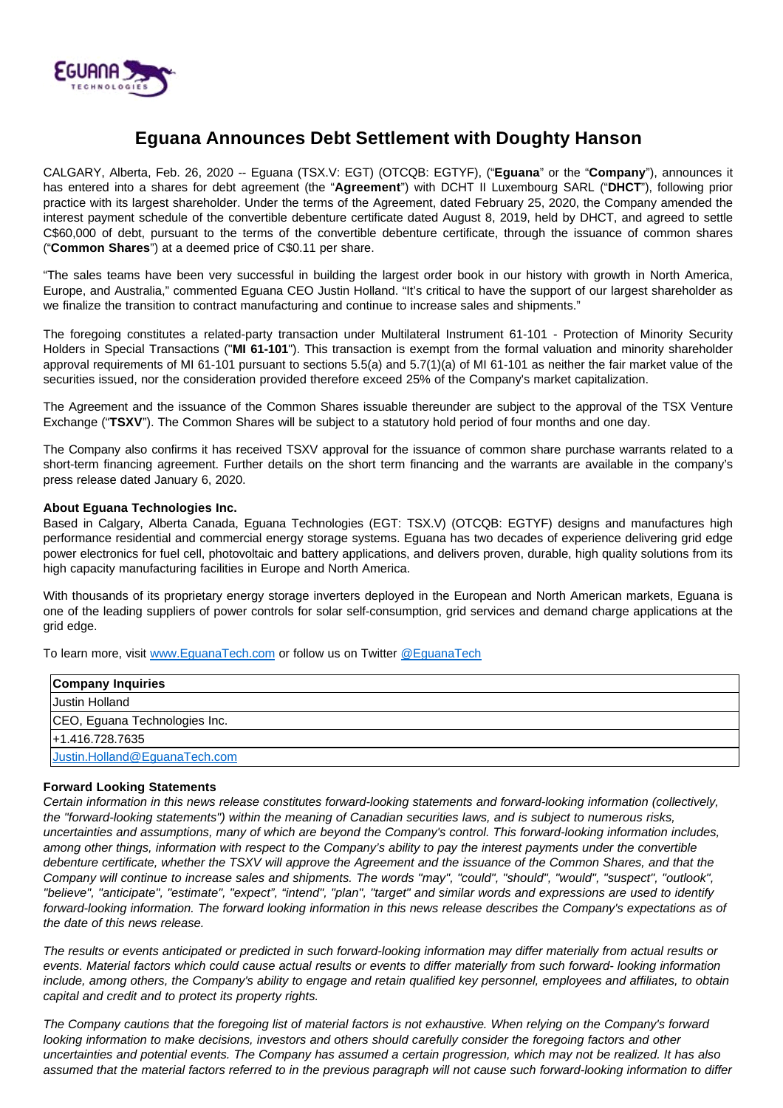

## **Eguana Announces Debt Settlement with Doughty Hanson**

CALGARY, Alberta, Feb. 26, 2020 -- Eguana (TSX.V: EGT) (OTCQB: EGTYF), ("**Eguana**" or the "**Company**"), announces it has entered into a shares for debt agreement (the "**Agreement**") with DCHT II Luxembourg SARL ("**DHCT**"), following prior practice with its largest shareholder. Under the terms of the Agreement, dated February 25, 2020, the Company amended the interest payment schedule of the convertible debenture certificate dated August 8, 2019, held by DHCT, and agreed to settle C\$60,000 of debt, pursuant to the terms of the convertible debenture certificate, through the issuance of common shares ("**Common Shares**") at a deemed price of C\$0.11 per share.

"The sales teams have been very successful in building the largest order book in our history with growth in North America, Europe, and Australia," commented Eguana CEO Justin Holland. "It's critical to have the support of our largest shareholder as we finalize the transition to contract manufacturing and continue to increase sales and shipments."

The foregoing constitutes a related-party transaction under Multilateral Instrument 61-101 - Protection of Minority Security Holders in Special Transactions ("**MI 61-101**"). This transaction is exempt from the formal valuation and minority shareholder approval requirements of MI 61-101 pursuant to sections 5.5(a) and 5.7(1)(a) of MI 61-101 as neither the fair market value of the securities issued, nor the consideration provided therefore exceed 25% of the Company's market capitalization.

The Agreement and the issuance of the Common Shares issuable thereunder are subject to the approval of the TSX Venture Exchange ("**TSXV**"). The Common Shares will be subject to a statutory hold period of four months and one day.

The Company also confirms it has received TSXV approval for the issuance of common share purchase warrants related to a short-term financing agreement. Further details on the short term financing and the warrants are available in the company's press release dated January 6, 2020.

## **About Eguana Technologies Inc.**

Based in Calgary, Alberta Canada, Eguana Technologies (EGT: TSX.V) (OTCQB: EGTYF) designs and manufactures high performance residential and commercial energy storage systems. Eguana has two decades of experience delivering grid edge power electronics for fuel cell, photovoltaic and battery applications, and delivers proven, durable, high quality solutions from its high capacity manufacturing facilities in Europe and North America.

With thousands of its proprietary energy storage inverters deployed in the European and North American markets, Eguana is one of the leading suppliers of power controls for solar self-consumption, grid services and demand charge applications at the grid edge.

To learn more, visit [www.EguanaTech.com](http://www.eguanatech.com/) or follow us on Twitter [@EguanaTech](https://twitter.com/EguanaTech)

| <b>Company Inquiries</b>      |
|-------------------------------|
| Justin Holland                |
| CEO, Eguana Technologies Inc. |
| l+1.416.728.7635              |
| Justin.Holland@EguanaTech.com |

## **Forward Looking Statements**

Certain information in this news release constitutes forward-looking statements and forward-looking information (collectively, the "forward-looking statements") within the meaning of Canadian securities laws, and is subject to numerous risks, uncertainties and assumptions, many of which are beyond the Company's control. This forward-looking information includes, among other things, information with respect to the Company's ability to pay the interest payments under the convertible debenture certificate, whether the TSXV will approve the Agreement and the issuance of the Common Shares, and that the Company will continue to increase sales and shipments. The words "may", "could", "should", "would", "suspect", "outlook", "believe", "anticipate", "estimate", "expect", "intend", "plan", "target" and similar words and expressions are used to identify forward-looking information. The forward looking information in this news release describes the Company's expectations as of the date of this news release.

The results or events anticipated or predicted in such forward-looking information may differ materially from actual results or events. Material factors which could cause actual results or events to differ materially from such forward- looking information include, among others, the Company's ability to engage and retain qualified key personnel, employees and affiliates, to obtain capital and credit and to protect its property rights.

The Company cautions that the foregoing list of material factors is not exhaustive. When relying on the Company's forward looking information to make decisions, investors and others should carefully consider the foregoing factors and other uncertainties and potential events. The Company has assumed a certain progression, which may not be realized. It has also assumed that the material factors referred to in the previous paragraph will not cause such forward-looking information to differ